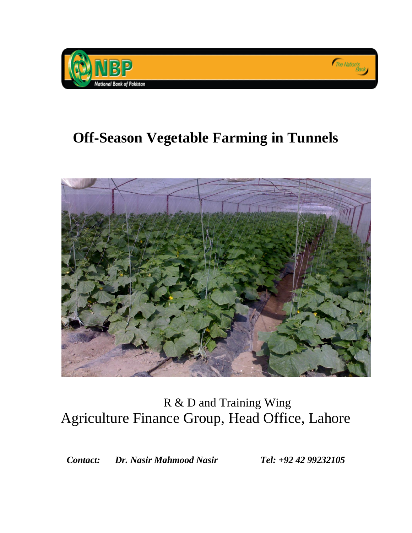

# **Off-Season Vegetable Farming in Tunnels**



# R & D and Training Wing Agriculture Finance Group, Head Office, Lahore

*Contact: Dr. Nasir Mahmood Nasir Tel: +92 42 99232105*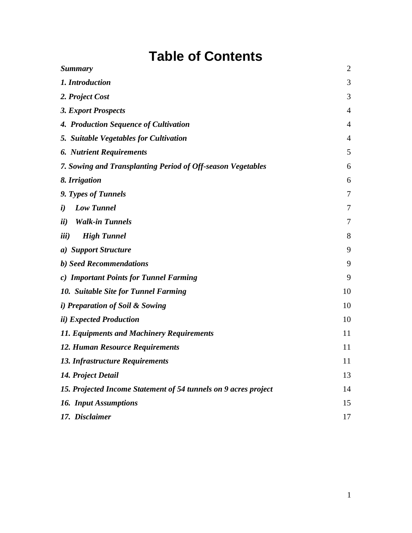# **Table of Contents**

| <b>Summary</b>                                                  | $\overline{2}$ |
|-----------------------------------------------------------------|----------------|
| 1. Introduction                                                 | 3              |
| 2. Project Cost                                                 | 3              |
| 3. Export Prospects                                             | $\overline{4}$ |
| 4. Production Sequence of Cultivation                           | $\overline{4}$ |
| 5. Suitable Vegetables for Cultivation                          | $\overline{4}$ |
| <b>6. Nutrient Requirements</b>                                 | 5              |
| 7. Sowing and Transplanting Period of Off-season Vegetables     | 6              |
| 8. Irrigation                                                   | 6              |
| 9. Types of Tunnels                                             | 7              |
| <b>Low Tunnel</b><br>$\boldsymbol{i}$                           | 7              |
| <b>Walk-in Tunnels</b><br>ii)                                   | 7              |
| <b>High Tunnel</b><br><i>iii</i> )                              | 8              |
| a) Support Structure                                            | 9              |
| b) Seed Recommendations                                         | 9              |
| c) Important Points for Tunnel Farming                          | 9              |
| 10. Suitable Site for Tunnel Farming                            | 10             |
| <i>i</i> ) Preparation of Soil & Sowing                         | 10             |
| <i>ii</i> ) Expected Production                                 | 10             |
| 11. Equipments and Machinery Requirements                       | 11             |
| 12. Human Resource Requirements                                 | 11             |
| 13. Infrastructure Requirements                                 | 11             |
| 14. Project Detail                                              | 13             |
| 15. Projected Income Statement of 54 tunnels on 9 acres project | 14             |
| <b>16. Input Assumptions</b>                                    | 15             |
| 17. Disclaimer                                                  | 17             |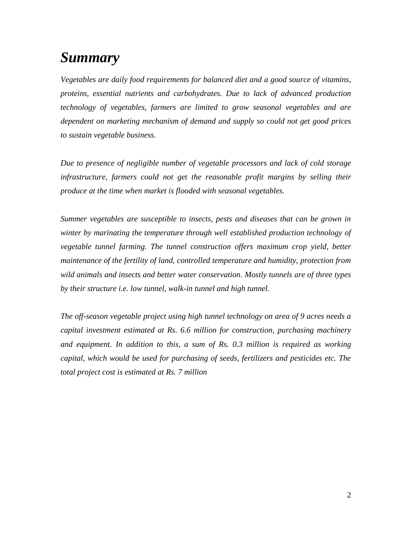# <span id="page-2-0"></span>*Summary*

*Vegetables are daily food requirements for balanced diet and a good source of vitamins, proteins, essential nutrients and carbohydrates. Due to lack of advanced production technology of vegetables, farmers are limited to grow seasonal vegetables and are dependent on marketing mechanism of demand and supply so could not get good prices to sustain vegetable business.*

*Due to presence of negligible number of vegetable processors and lack of cold storage infrastructure, farmers could not get the reasonable profit margins by selling their produce at the time when market is flooded with seasonal vegetables.* 

*Summer vegetables are susceptible to insects, pests and diseases that can be grown in winter by marinating the temperature through well established production technology of vegetable tunnel farming. The tunnel construction offers maximum crop yield, better maintenance of the fertility of land, controlled temperature and humidity, protection from wild animals and insects and better water conservation. Mostly tunnels are of three types by their structure i.e. low tunnel, walk-in tunnel and high tunnel.*

*The off-season vegetable project using high tunnel technology on area of 9 acres needs a capital investment estimated at Rs. 6.6 million for construction, purchasing machinery and equipment. In addition to this, a sum of Rs. 0.3 million is required as working capital, which would be used for purchasing of seeds, fertilizers and pesticides etc. The total project cost is estimated at Rs. 7 million*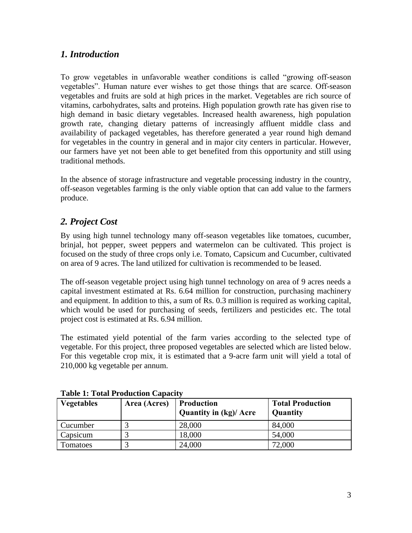# <span id="page-3-0"></span>*1. Introduction*

To grow vegetables in unfavorable weather conditions is called "growing off-season vegetables". Human nature ever wishes to get those things that are scarce. Off-season vegetables and fruits are sold at high prices in the market. Vegetables are rich source of vitamins, carbohydrates, salts and proteins. High population growth rate has given rise to high demand in basic dietary vegetables. Increased health awareness, high population growth rate, changing dietary patterns of increasingly affluent middle class and availability of packaged vegetables, has therefore generated a year round high demand for vegetables in the country in general and in major city centers in particular. However, our farmers have yet not been able to get benefited from this opportunity and still using traditional methods.

In the absence of storage infrastructure and vegetable processing industry in the country, off-season vegetables farming is the only viable option that can add value to the farmers produce.

# <span id="page-3-1"></span>*2. Project Cost*

By using high tunnel technology many off-season vegetables like tomatoes, cucumber, brinjal, hot pepper, sweet peppers and watermelon can be cultivated. This project is focused on the study of three crops only i.e. Tomato, Capsicum and Cucumber, cultivated on area of 9 acres. The land utilized for cultivation is recommended to be leased.

The off-season vegetable project using high tunnel technology on area of 9 acres needs a capital investment estimated at Rs. 6.64 million for construction, purchasing machinery and equipment. In addition to this, a sum of Rs. 0.3 million is required as working capital, which would be used for purchasing of seeds, fertilizers and pesticides etc. The total project cost is estimated at Rs. 6.94 million.

The estimated yield potential of the farm varies according to the selected type of vegetable. For this project, three proposed vegetables are selected which are listed below. For this vegetable crop mix, it is estimated that a 9-acre farm unit will yield a total of 210,000 kg vegetable per annum.

| <b>Vegetables</b> | Area (Acres) | <b>Production</b><br><b>Quantity in (kg)/ Acre</b> | <b>Total Production</b><br>Quantity |
|-------------------|--------------|----------------------------------------------------|-------------------------------------|
| Cucumber          |              | 28,000                                             | 84,000                              |
| Capsicum          |              | 18,000                                             | 54,000                              |
| Tomatoes          |              | 24,000                                             | 72,000                              |

**Table 1: Total Production Capacity**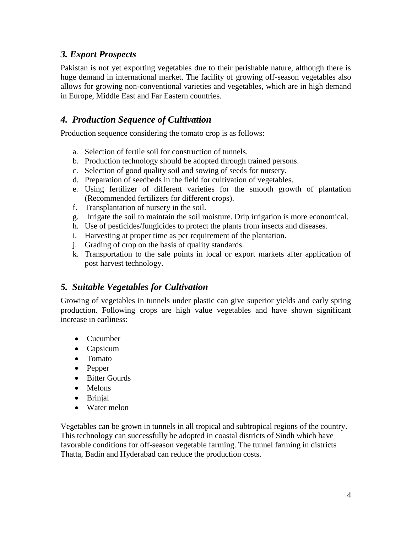## <span id="page-4-0"></span>*3. Export Prospects*

Pakistan is not yet exporting vegetables due to their perishable nature, although there is huge demand in international market. The facility of growing off-season vegetables also allows for growing non-conventional varieties and vegetables, which are in high demand in Europe, Middle East and Far Eastern countries.

## <span id="page-4-1"></span>*4. Production Sequence of Cultivation*

Production sequence considering the tomato crop is as follows:

- a. Selection of fertile soil for construction of tunnels.
- b. Production technology should be adopted through trained persons.
- c. Selection of good quality soil and sowing of seeds for nursery.
- d. Preparation of seedbeds in the field for cultivation of vegetables.
- e. Using fertilizer of different varieties for the smooth growth of plantation (Recommended fertilizers for different crops).
- f. Transplantation of nursery in the soil.
- g. Irrigate the soil to maintain the soil moisture. Drip irrigation is more economical.
- h. Use of pesticides/fungicides to protect the plants from insects and diseases.
- i. Harvesting at proper time as per requirement of the plantation.
- j. Grading of crop on the basis of quality standards.
- k. Transportation to the sale points in local or export markets after application of post harvest technology.

#### <span id="page-4-2"></span>*5. Suitable Vegetables for Cultivation*

Growing of vegetables in tunnels under plastic can give superior yields and early spring production. Following crops are high value vegetables and have shown significant increase in earliness:

- Cucumber
- Capsicum
- Tomato
- Pepper
- Bitter Gourds
- Melons
- Brinjal
- Water melon

Vegetables can be grown in tunnels in all tropical and subtropical regions of the country. This technology can successfully be adopted in coastal districts of Sindh which have favorable conditions for off-season vegetable farming. The tunnel farming in districts Thatta, Badin and Hyderabad can reduce the production costs.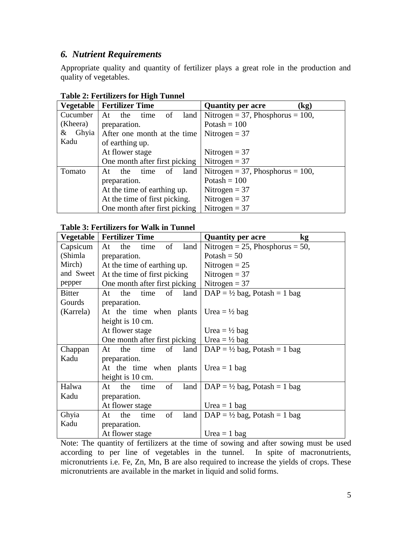### <span id="page-5-0"></span>*6. Nutrient Requirements*

Appropriate quality and quantity of fertilizer plays a great role in the production and quality of vegetables.

| <b>Vegetable</b> | <b>Fertilizer Time</b>          | <b>Quantity per acre</b><br>(kg)    |
|------------------|---------------------------------|-------------------------------------|
| Cucumber         | the<br>of<br>land<br>At<br>time | Nitrogen = 37, Phosphorus = $100$ , |
| (Kheera)         | preparation.                    | Potash = $100$                      |
| Ghyia  <br>&     | After one month at the time     | Nitrogen $=$ 37                     |
| Kadu             | of earthing up.                 |                                     |
|                  | At flower stage                 | Nitrogen = $37$                     |
|                  | One month after first picking   | Nitrogen = $37$                     |
| Tomato           | land<br>the<br>time<br>οť<br>At | Nitrogen = 37, Phosphorus = $100$ , |
|                  | preparation.                    | Potash = $100$                      |
|                  | At the time of earthing up.     | Nitrogen = $37$                     |
|                  | At the time of first picking.   | Nitrogen = $37$                     |
|                  | One month after first picking   | Nitrogen = $37$                     |

#### **Table 2: Fertilizers for High Tunnel**

#### **Table 3: Fertilizers for Walk in Tunnel**

| Vegetable     | <b>Fertilizer Time</b>                       | <b>Quantity per acre</b><br><b>kg</b>   |
|---------------|----------------------------------------------|-----------------------------------------|
| Capsicum      | of<br>At<br>the<br>time<br>land              | Nitrogen = 25, Phosphorus = 50,         |
| (Shimla       | preparation.                                 | Potash = $50$                           |
| Mirch)        | At the time of earthing up.                  | Nitrogen $= 25$                         |
| and Sweet     | At the time of first picking                 | Nitrogen = $37$                         |
| pepper        | One month after first picking                | Nitrogen = $37$                         |
| <b>Bitter</b> | the<br>of<br>time<br>land<br>At              | $DAP = \frac{1}{2}$ bag, Potash = 1 bag |
| Gourds        | preparation.                                 |                                         |
| (Karrela)     | At the time when plants                      | Urea = $\frac{1}{2}$ bag                |
|               | height is 10 cm.                             |                                         |
|               | At flower stage                              | Urea = $\frac{1}{2}$ bag                |
|               | One month after first picking                | Urea = $\frac{1}{2}$ bag                |
| Chappan       | the<br>time<br>of<br>land<br>At              | $DAP = \frac{1}{2}$ bag, Potash = 1 bag |
| Kadu          | preparation.                                 |                                         |
|               | At the time when plants $\vert$ Urea = 1 bag |                                         |
|               | height is 10 cm.                             |                                         |
| Halwa         | the<br>of<br>land<br>At<br>time              | $DAP = \frac{1}{2}$ bag, Potash = 1 bag |
| Kadu          | preparation.                                 |                                         |
|               | At flower stage                              | Urea $= 1$ bag                          |
| Ghyia         | the<br>of<br>land<br>At<br>time              | $DAP = \frac{1}{2}$ bag, Potash = 1 bag |
| Kadu          | preparation.                                 |                                         |
|               | At flower stage                              | Urea $= 1$ bag                          |

Note: The quantity of fertilizers at the time of sowing and after sowing must be used according to per line of vegetables in the tunnel. In spite of macronutrients, micronutrients i.e. Fe, Zn, Mn, B are also required to increase the yields of crops. These micronutrients are available in the market in liquid and solid forms.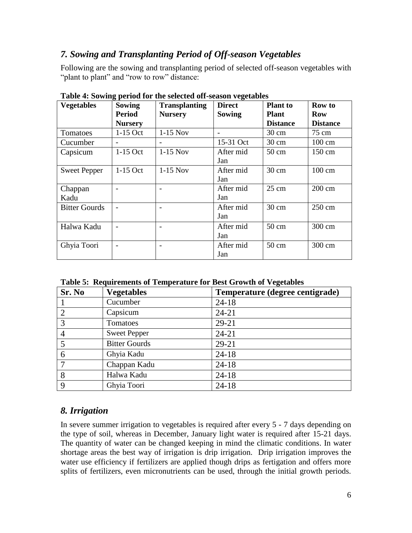# <span id="page-6-0"></span>*7. Sowing and Transplanting Period of Off-season Vegetables*

Following are the sowing and transplanting period of selected off-season vegetables with "plant to plant" and "row to row" distance:

| <b>Vegetables</b>    | <b>Sowing</b>            | <b>Transplanting</b>     | <b>Direct</b> | <b>Plant</b> to | Row to           |
|----------------------|--------------------------|--------------------------|---------------|-----------------|------------------|
|                      | <b>Period</b>            | <b>Nursery</b>           | Sowing        | <b>Plant</b>    | Row              |
|                      | <b>Nursery</b>           |                          |               | <b>Distance</b> | <b>Distance</b>  |
| Tomatoes             | $1-15$ Oct               | $1-15$ Nov               |               | $30 \text{ cm}$ | 75 cm            |
| Cucumber             | $\overline{\phantom{a}}$ |                          | 15-31 Oct     | $30 \text{ cm}$ | $100 \text{ cm}$ |
| Capsicum             | $1-15$ Oct               | $1-15$ Nov               | After mid     | $50 \text{ cm}$ | $150 \text{ cm}$ |
|                      |                          |                          | Jan           |                 |                  |
| <b>Sweet Pepper</b>  | $1-15$ Oct               | $1-15$ Nov               | After mid     | $30 \text{ cm}$ | 100 cm           |
|                      |                          |                          | Jan           |                 |                  |
| Chappan              |                          |                          | After mid     | $25 \text{ cm}$ | $200 \text{ cm}$ |
| Kadu                 |                          |                          | Jan           |                 |                  |
| <b>Bitter Gourds</b> |                          | $\blacksquare$           | After mid     | $30 \text{ cm}$ | $250 \text{ cm}$ |
|                      |                          |                          | Jan           |                 |                  |
| Halwa Kadu           |                          | $\overline{\phantom{0}}$ | After mid     | $50 \text{ cm}$ | 300 cm           |
|                      |                          |                          | Jan           |                 |                  |
| Ghyia Toori          |                          | $\overline{\phantom{0}}$ | After mid     | $50 \text{ cm}$ | $300 \text{ cm}$ |
|                      |                          |                          | Jan           |                 |                  |

**Table 4: Sowing period for the selected off-season vegetables**

|  | Table 5: Requirements of Temperature for Best Growth of Vegetables |  |  |
|--|--------------------------------------------------------------------|--|--|
|  |                                                                    |  |  |

| Sr. No         | <b>Vegetables</b>    | Temperature (degree centigrade) |
|----------------|----------------------|---------------------------------|
|                | Cucumber             | $24 - 18$                       |
| $\overline{2}$ | Capsicum             | $24 - 21$                       |
| 3              | Tomatoes             | $29 - 21$                       |
| 4              | <b>Sweet Pepper</b>  | $24 - 21$                       |
| 5              | <b>Bitter Gourds</b> | 29-21                           |
| 6              | Ghyia Kadu           | $24 - 18$                       |
|                | Chappan Kadu         | $24 - 18$                       |
| 8              | Halwa Kadu           | $24 - 18$                       |
| 9              | Ghyia Toori          | $24 - 18$                       |

# <span id="page-6-1"></span>*8. Irrigation*

In severe summer irrigation to vegetables is required after every 5 - 7 days depending on the type of soil, whereas in December, January light water is required after 15-21 days. The quantity of water can be changed keeping in mind the climatic conditions. In water shortage areas the best way of irrigation is drip irrigation. Drip irrigation improves the water use efficiency if fertilizers are applied though drips as fertigation and offers more splits of fertilizers, even micronutrients can be used, through the initial growth periods.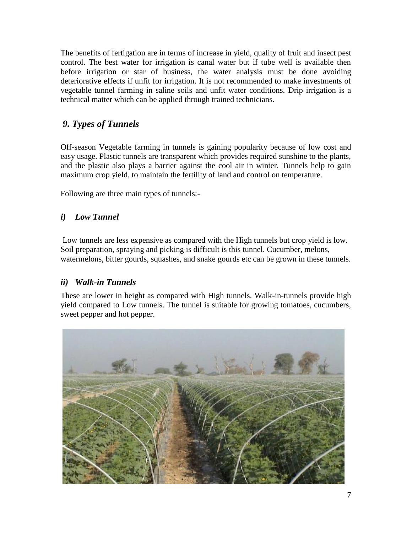The benefits of fertigation are in terms of increase in yield, quality of fruit and insect pest control. The best water for irrigation is canal water but if tube well is available then before irrigation or star of business, the water analysis must be done avoiding deteriorative effects if unfit for irrigation. It is not recommended to make investments of vegetable tunnel farming in saline soils and unfit water conditions. Drip irrigation is a technical matter which can be applied through trained technicians.

# <span id="page-7-0"></span>*9. Types of Tunnels*

Off-season Vegetable farming in tunnels is gaining popularity because of low cost and easy usage. Plastic tunnels are transparent which provides required sunshine to the plants, and the plastic also plays a barrier against the cool air in winter. Tunnels help to gain maximum crop yield, to maintain the fertility of land and control on temperature.

Following are three main types of tunnels:-

### <span id="page-7-1"></span>*i) Low Tunnel*

Low tunnels are less expensive as compared with the High tunnels but crop yield is low. Soil preparation, spraying and picking is difficult is this tunnel. Cucumber, melons, watermelons, bitter gourds, squashes, and snake gourds etc can be grown in these tunnels.

#### <span id="page-7-2"></span>*ii) Walk-in Tunnels*

These are lower in height as compared with High tunnels. Walk-in-tunnels provide high yield compared to Low tunnels. The tunnel is suitable for growing tomatoes, cucumbers, sweet pepper and hot pepper.

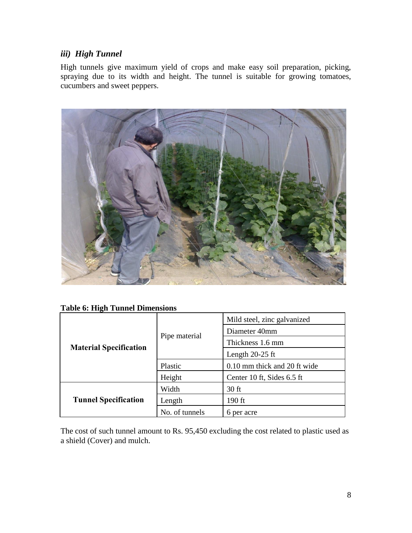# <span id="page-8-0"></span>*iii) High Tunnel*

High tunnels give maximum yield of crops and make easy soil preparation, picking, spraying due to its width and height. The tunnel is suitable for growing tomatoes, cucumbers and sweet peppers.



| <b>Table 6: High Tunnel Dimensions</b> |  |  |
|----------------------------------------|--|--|
|----------------------------------------|--|--|

|                               |                | Mild steel, zinc galvanized  |
|-------------------------------|----------------|------------------------------|
|                               | Pipe material  | Diameter 40mm                |
| <b>Material Specification</b> |                | Thickness 1.6 mm             |
|                               |                | Length $20-25$ ft            |
|                               | Plastic        | 0.10 mm thick and 20 ft wide |
|                               | Height         | Center 10 ft, Sides 6.5 ft   |
|                               | Width          | $30$ ft                      |
| <b>Tunnel Specification</b>   | Length         | 190 ft                       |
|                               | No. of tunnels | 6 per acre                   |

The cost of such tunnel amount to Rs. 95,450 excluding the cost related to plastic used as a shield (Cover) and mulch.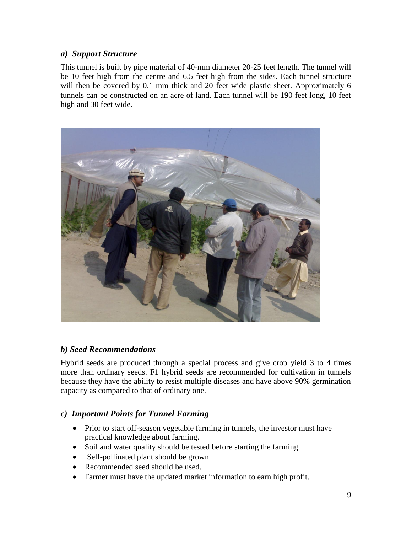#### <span id="page-9-0"></span>*a) Support Structure*

This tunnel is built by pipe material of 40-mm diameter 20-25 feet length. The tunnel will be 10 feet high from the centre and 6.5 feet high from the sides. Each tunnel structure will then be covered by 0.1 mm thick and 20 feet wide plastic sheet. Approximately 6 tunnels can be constructed on an acre of land. Each tunnel will be 190 feet long, 10 feet high and 30 feet wide.



#### <span id="page-9-1"></span>*b) Seed Recommendations*

Hybrid seeds are produced through a special process and give crop yield 3 to 4 times more than ordinary seeds. F1 hybrid seeds are recommended for cultivation in tunnels because they have the ability to resist multiple diseases and have above 90% germination capacity as compared to that of ordinary one.

#### <span id="page-9-2"></span>*c) Important Points for Tunnel Farming*

- Prior to start off-season vegetable farming in tunnels, the investor must have practical knowledge about farming.
- Soil and water quality should be tested before starting the farming.
- Self-pollinated plant should be grown.
- Recommended seed should be used.
- Farmer must have the updated market information to earn high profit.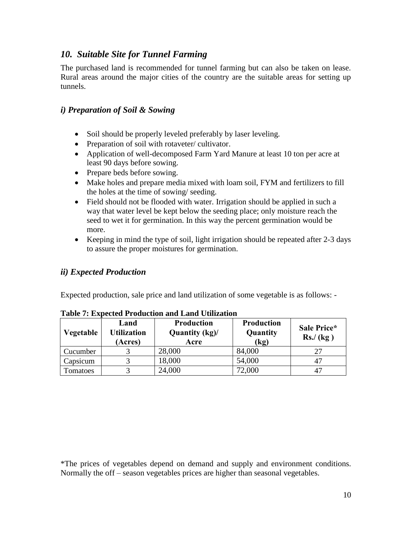### <span id="page-10-0"></span>*10. Suitable Site for Tunnel Farming*

The purchased land is recommended for tunnel farming but can also be taken on lease. Rural areas around the major cities of the country are the suitable areas for setting up tunnels.

#### <span id="page-10-1"></span>*i) Preparation of Soil & Sowing*

- Soil should be properly leveled preferably by laser leveling.
- Preparation of soil with rotaveter/ cultivator.
- Application of well-decomposed Farm Yard Manure at least 10 ton per acre at least 90 days before sowing.
- Prepare beds before sowing.
- Make holes and prepare media mixed with loam soil, FYM and fertilizers to fill the holes at the time of sowing/ seeding.
- Field should not be flooded with water. Irrigation should be applied in such a way that water level be kept below the seeding place; only moisture reach the seed to wet it for germination. In this way the percent germination would be more.
- Keeping in mind the type of soil, light irrigation should be repeated after 2-3 days to assure the proper moistures for germination.

#### <span id="page-10-2"></span>*ii) Expected Production*

Expected production, sale price and land utilization of some vegetable is as follows: -

| Vegetable | Land<br><b>Utilization</b><br>(Acres) | <b>Production</b><br>Quantity (kg)/<br>Acre | <b>Production</b><br>Quantity<br>$\left(\text{kg}\right)$ | Sale Price*<br>$\operatorname{Rs.}/(\operatorname{kg})$ |
|-----------|---------------------------------------|---------------------------------------------|-----------------------------------------------------------|---------------------------------------------------------|
| Cucumber  |                                       | 28,000                                      | 84,000                                                    | 27                                                      |
| Capsicum  |                                       | 18,000                                      | 54,000                                                    | 47                                                      |
| Tomatoes  |                                       | 24,000                                      | 72,000                                                    |                                                         |

**Table 7: Expected Production and Land Utilization**

\*The prices of vegetables depend on demand and supply and environment conditions. Normally the off – season vegetables prices are higher than seasonal vegetables.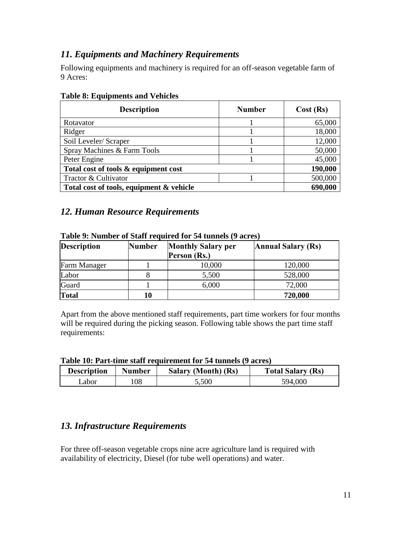# <span id="page-11-0"></span>*11. Equipments and Machinery Requirements*

Following equipments and machinery is required for an off-season vegetable farm of 9 Acres:

| <b>Description</b>                       | <b>Number</b> | Cost(Rs) |
|------------------------------------------|---------------|----------|
| Rotavator                                |               | 65,000   |
| Ridger                                   |               | 18,000   |
| Soil Leveler/ Scraper                    |               | 12,000   |
| Spray Machines & Farm Tools              |               | 50,000   |
| Peter Engine                             |               | 45,000   |
| Total cost of tools & equipment cost     |               | 190,000  |
| Tractor & Cultivator                     |               | 500,000  |
| Total cost of tools, equipment & vehicle |               | 690,000  |

#### **Table 8: Equipments and Vehicles**

#### <span id="page-11-1"></span>*12. Human Resource Requirements*

| <b>Description</b> | <b>Number</b> | <b>Monthly Salary per</b><br>Person (Rs.) | <b>Annual Salary (Rs)</b> |
|--------------------|---------------|-------------------------------------------|---------------------------|
| Farm Manager       |               | 10,000                                    | 120,000                   |
| Labor              |               | 5,500                                     | 528,000                   |
| Guard              |               | 6,000                                     | 72,000                    |
| <b>Total</b>       | 10            |                                           | 720,000                   |

#### **Table 9: Number of Staff required for 54 tunnels (9 acres)**

Apart from the above mentioned staff requirements, part time workers for four months will be required during the picking season. Following table shows the part time staff requirements:

| Table 10: Part-time staff requirement for 54 tunnels (9 acres) |  |  |
|----------------------------------------------------------------|--|--|
|                                                                |  |  |

| <b>Description</b> | Number | Salary (Month) (Rs) | <b>Total Salary (Rs)</b> |
|--------------------|--------|---------------------|--------------------------|
| ∟abor              | 108    | 5,500               | 594,000                  |

#### <span id="page-11-2"></span>*13. Infrastructure Requirements*

For three off-season vegetable crops nine acre agriculture land is required with availability of electricity, Diesel (for tube well operations) and water.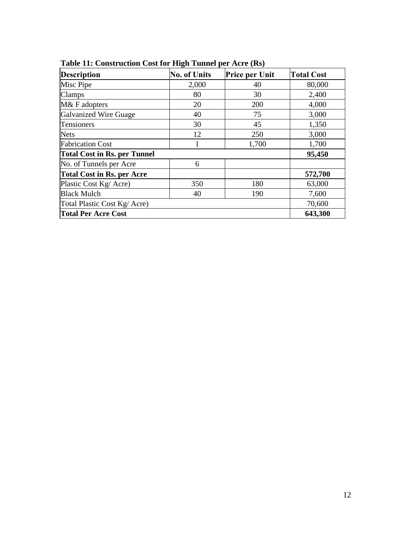| <b>Description</b>                  | o<br><b>No. of Units</b> | <b>Price per Unit</b> | <b>Total Cost</b> |
|-------------------------------------|--------------------------|-----------------------|-------------------|
| Misc Pipe                           | 2,000                    | 40                    | 80,000            |
| Clamps                              | 80                       | 30                    | 2,400             |
| M& F adopters                       | 20                       | 200                   | 4,000             |
| Galvanized Wire Guage               | 40                       | 75                    | 3,000             |
| Tensioners                          | 30                       | 45                    | 1,350             |
| <b>Nets</b>                         | 12                       | 250                   | 3,000             |
| <b>Fabrication Cost</b>             | 1                        | 1,700                 | 1,700             |
| <b>Total Cost in Rs. per Tunnel</b> | 95,450                   |                       |                   |
| No. of Tunnels per Acre             | 6                        |                       |                   |
| <b>Total Cost in Rs. per Acre</b>   |                          |                       | 572,700           |
| Plastic Cost Kg/Acre)               | 350                      | 180                   | 63,000            |
| <b>Black Mulch</b>                  | 40                       | 190                   | 7,600             |
| Total Plastic Cost Kg/ Acre)        | 70,600                   |                       |                   |
| <b>Total Per Acre Cost</b>          | 643,300                  |                       |                   |

**Table 11: Construction Cost for High Tunnel per Acre (Rs)**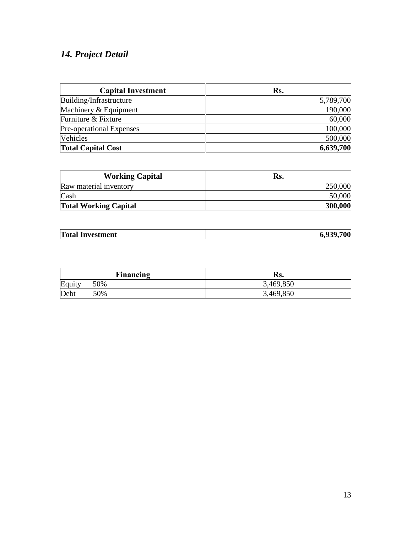# <span id="page-13-0"></span>*14. Project Detail*

| <b>Capital Investment</b> | Rs.       |
|---------------------------|-----------|
| Building/Infrastructure   | 5,789,700 |
| Machinery & Equipment     | 190,000   |
| Furniture & Fixture       | 60,000    |
| Pre-operational Expenses  | 100,000   |
| <b>Vehicles</b>           | 500,000   |
| <b>Total Capital Cost</b> | 6,639,700 |

| <b>Working Capital</b>       | Rs.     |
|------------------------------|---------|
| Raw material inventory       | 250,000 |
| Cash                         | 50,000  |
| <b>Total Working Capital</b> | 300,000 |

|--|

|        | <b>Financing</b> | Rs.       |
|--------|------------------|-----------|
| Equity | 50%              | 3,469,850 |
| Debt   | 50%              | 3,469,850 |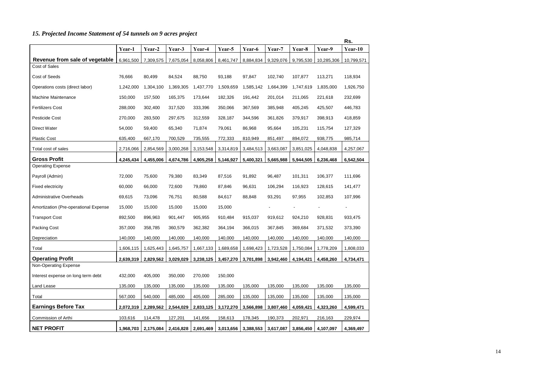# <span id="page-14-0"></span>*15. Projected Income Statement of 54 tunnels on 9 acres project*

|                                       |           |           |           |           |           |           |           |           |            | Rs.            |
|---------------------------------------|-----------|-----------|-----------|-----------|-----------|-----------|-----------|-----------|------------|----------------|
|                                       | Year-1    | Year-2    | Year-3    | Year-4    | Year-5    | Year-6    | Year-7    | Year-8    | Year-9     | Year-10        |
| Revenue from sale of vegetable        | 6,961,500 | 7,309,575 | 7,675,054 | 8,058,806 | 8,461,747 | 8,884,834 | 9,329,076 | 9,795,530 | 10,285,306 | 10,799,571     |
| Cost of Sales                         |           |           |           |           |           |           |           |           |            |                |
| Cost of Seeds                         | 76,666    | 80,499    | 84,524    | 88,750    | 93,188    | 97,847    | 102,740   | 107,877   | 113,271    | 118,934        |
| Operations costs (direct labor)       | 1,242,000 | 1,304,100 | 1,369,305 | 1,437,770 | 1,509,659 | 1,585,142 | 1,664,399 | 1,747,619 | 1,835,000  | 1,926,750      |
| <b>Machine Maintenance</b>            | 150,000   | 157,500   | 165,375   | 173,644   | 182,326   | 191,442   | 201,014   | 211,065   | 221,618    | 232,699        |
| <b>Fertilizers Cost</b>               | 288,000   | 302,400   | 317,520   | 333,396   | 350,066   | 367,569   | 385,948   | 405,245   | 425,507    | 446,783        |
| Pesticide Cost                        | 270,000   | 283,500   | 297,675   | 312,559   | 328,187   | 344,596   | 361,826   | 379,917   | 398,913    | 418,859        |
| <b>Direct Water</b>                   | 54,000    | 59,400    | 65,340    | 71,874    | 79,061    | 86,968    | 95,664    | 105,231   | 115,754    | 127,329        |
| <b>Plastic Cost</b>                   | 635,400   | 667,170   | 700,529   | 735,555   | 772,333   | 810,949   | 851,497   | 894,072   | 938,775    | 985,714        |
| Total cost of sales                   | 2,716,066 | 2,854,569 | 3,000,268 | 3,153,548 | 3,314,819 | 3,484,513 | 3,663,087 | 3,851,025 | 4,048,838  | 4,257,067      |
| <b>Gross Profit</b>                   | 4,245,434 | 4,455,006 | 4,674,786 | 4,905,258 | 5,146,927 | 5,400,321 | 5,665,988 | 5,944,505 | 6,236,468  | 6,542,504      |
| <b>Operating Expense</b>              |           |           |           |           |           |           |           |           |            |                |
| Payroll (Admin)                       | 72,000    | 75,600    | 79,380    | 83,349    | 87,516    | 91,892    | 96,487    | 101,311   | 106,377    | 111,696        |
| <b>Fixed electricity</b>              | 60,000    | 66,000    | 72,600    | 79,860    | 87,846    | 96,631    | 106,294   | 116,923   | 128,615    | 141,477        |
| <b>Administrative Overheads</b>       | 69,615    | 73,096    | 76,751    | 80,588    | 84,617    | 88,848    | 93,291    | 97,955    | 102,853    | 107,996        |
| Amortization (Pre-operational Expense | 15,000    | 15,000    | 15,000    | 15,000    | 15,000    |           |           |           |            | $\blacksquare$ |
| <b>Transport Cost</b>                 | 892,500   | 896,963   | 901,447   | 905,955   | 910,484   | 915,037   | 919,612   | 924,210   | 928,831    | 933,475        |
| <b>Packing Cost</b>                   | 357,000   | 358,785   | 360,579   | 362,382   | 364,194   | 366,015   | 367,845   | 369,684   | 371,532    | 373,390        |
| Depreciation                          | 140,000   | 140,000   | 140,000   | 140,000   | 140,000   | 140,000   | 140,000   | 140,000   | 140,000    | 140,000        |
| Total                                 | 1,606,115 | 1,625,443 | 1,645,757 | 1,667,133 | 1,689,658 | 1,698,423 | 1,723,528 | 1,750,084 | 1,778,209  | 1,808,033      |
| <b>Operating Profit</b>               | 2,639,319 | 2,829,562 | 3,029,029 | 3,238,125 | 3,457,270 | 3,701,898 | 3,942,460 | 4,194,421 | 4,458,260  | 4,734,471      |
| Non-Operating Expense                 |           |           |           |           |           |           |           |           |            |                |
| Interest expense on long term debt    | 432,000   | 405,000   | 350,000   | 270,000   | 150,000   |           |           |           |            |                |
| Land Lease                            | 135,000   | 135,000   | 135,000   | 135,000   | 135,000   | 135,000   | 135,000   | 135,000   | 135,000    | 135,000        |
| Total                                 | 567,000   | 540,000   | 485,000   | 405,000   | 285,000   | 135,000   | 135,000   | 135,000   | 135,000    | 135,000        |
| <b>Earnings Before Tax</b>            | 2,072,319 | 2,289,562 | 2,544,029 | 2,833,125 | 3,172,270 | 3,566,898 | 3,807,460 | 4,059,421 | 4,323,260  | 4,599,471      |
| Commission of Arthi                   | 103,616   | 114,478   | 127,201   | 141,656   | 158,613   | 178,345   | 190,373   | 202,971   | 216,163    | 229,974        |
| <b>NET PROFIT</b>                     | 1,968,703 | 2,175,084 | 2,416,828 | 2,691,469 | 3,013,656 | 3,388,553 | 3,617,087 | 3,856,450 | 4,107,097  | 4,369,497      |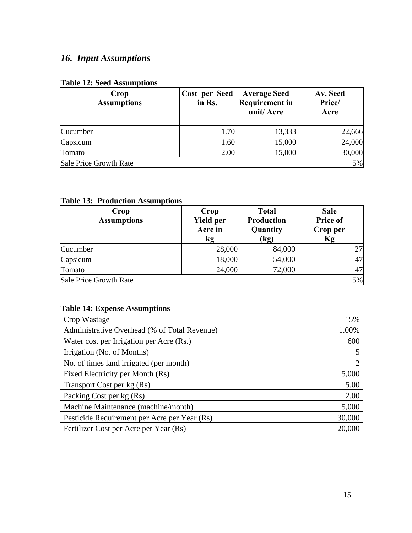# <span id="page-15-0"></span>*16. Input Assumptions*

#### **Table 12: Seed Assumptions**

| Crop<br><b>Assumptions</b> | Cost per Seed<br>in Rs. | <b>Average Seed</b><br><b>Requirement in</b><br>unit/Acre | Av. Seed<br>Price/<br>Acre |
|----------------------------|-------------------------|-----------------------------------------------------------|----------------------------|
| Cucumber                   | 1.70                    | 13,333                                                    | 22,666                     |
| Capsicum                   | 1.60                    | 15,000                                                    | 24,000                     |
| Tomato                     | 2.00                    | 15,000                                                    | 30,000                     |
| Sale Price Growth Rate     | 5%                      |                                                           |                            |

#### **Table 13: Production Assumptions**

| Crop<br><b>Assumptions</b> | Crop<br>Yield per<br>Acre in<br>kg | <b>Total</b><br><b>Production</b><br>Quantity<br>$\left(\mathrm{kg}\right)$ | <b>Sale</b><br>Price of<br>Crop per<br>Кg |
|----------------------------|------------------------------------|-----------------------------------------------------------------------------|-------------------------------------------|
| Cucumber                   | 28,000                             | 84,000                                                                      | 27                                        |
| Capsicum                   | 18,000                             | 54,000                                                                      | 47                                        |
| Tomato                     | 24,000                             | 72,000                                                                      | 47                                        |
| Sale Price Growth Rate     |                                    |                                                                             | 5%                                        |

#### **Table 14: Expense Assumptions**

| Crop Wastage                                 | 15%    |
|----------------------------------------------|--------|
| Administrative Overhead (% of Total Revenue) | 1.00%  |
| Water cost per Irrigation per Acre (Rs.)     | 600    |
| Irrigation (No. of Months)                   |        |
| No. of times land irrigated (per month)      | っ      |
| Fixed Electricity per Month (Rs)             | 5,000  |
| Transport Cost per kg (Rs)                   | 5.00   |
| Packing Cost per kg (Rs)                     | 2.00   |
| Machine Maintenance (machine/month)          | 5,000  |
| Pesticide Requirement per Acre per Year (Rs) | 30,000 |
| Fertilizer Cost per Acre per Year (Rs)       | 20,000 |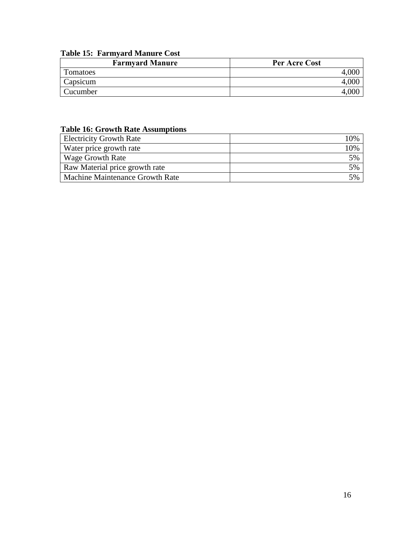# **Table 15: Farmyard Manure Cost**

| <b>Farmyard Manure</b> | Per Acre Cost |
|------------------------|---------------|
| Tomatoes               |               |
| Capsicum               |               |
| Cucumber               |               |

#### **Table 16: Growth Rate Assumptions**

| <b>Electricity Growth Rate</b>  | 10% |
|---------------------------------|-----|
| Water price growth rate         | 10% |
| <b>Wage Growth Rate</b>         | 5%  |
| Raw Material price growth rate  | 5%  |
| Machine Maintenance Growth Rate | 5%  |